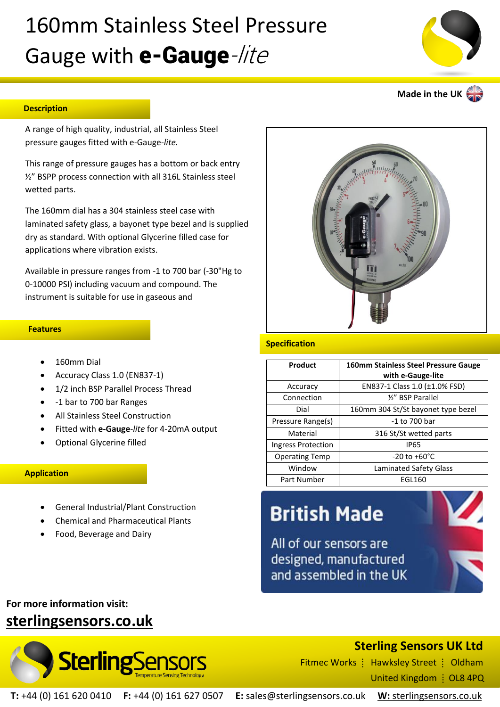# 160mm Stainless Steel Pressure Gauge with **e-Gauge**-lite

#### **Description**

A range of high quality, industrial, all Stainless Steel pressure gauges fitted with e-Gauge*-lite.*

This range of pressure gauges has a bottom or back entry ½" BSPP process connection with all 316L Stainless steel wetted parts.

The 160mm dial has a 304 stainless steel case with laminated safety glass, a bayonet type bezel and is supplied dry as standard. With optional Glycerine filled case for applications where vibration exists.

Available in pressure ranges from -1 to 700 bar (-30"Hg to 0-10000 PSI) including vacuum and compound. The instrument is suitable for use in gaseous and

#### **Features**

- 160mm Dial
- Accuracy Class 1.0 (EN837-1)
- 1/2 inch BSP Parallel Process Thread
- -1 bar to 700 bar Ranges
- All Stainless Steel Construction
- Fitted with **e-Gauge***-lite* for 4-20mA output
- Optional Glycerine filled

### **Application**

- General Industrial/Plant Construction
- Chemical and Pharmaceutical Plants
- Food, Beverage and Dairy



#### **Specification**

| Product               | <b>160mm Stainless Steel Pressure Gauge</b><br>with e-Gauge-lite |
|-----------------------|------------------------------------------------------------------|
| Accuracy              | EN837-1 Class 1.0 (±1.0% FSD)                                    |
| Connection            | 1/2" BSP Parallel                                                |
| Dial                  | 160mm 304 St/St bayonet type bezel                               |
| Pressure Range(s)     | -1 to 700 bar                                                    |
| Material              | 316 St/St wetted parts                                           |
| Ingress Protection    | <b>IP65</b>                                                      |
| <b>Operating Temp</b> | $-20$ to $+60^{\circ}$ C                                         |
| Window                | Laminated Safety Glass                                           |
| Part Number           | EGL160                                                           |

## **British Made**

All of our sensors are designed, manufactured and assembled in the UK



## **For more information visit: [sterlingsensors.co.uk](https://www.sterlingsensors.co.uk/)**



### **Sterling Sensors UK Ltd**

Fitmec Works  $\frac{1}{2}$  Hawksley Street  $\frac{1}{2}$  Oldham United Kingdom | OL8 4PQ

**T:** +44 (0) 161 620 0410 **F:** +44 (0) 161 627 0507 **E:** sales@sterlingsensors.co.uk **W:** [sterlingsensors.co.uk](https://www.sterlingsensors.co.uk/)



**Made in the UK**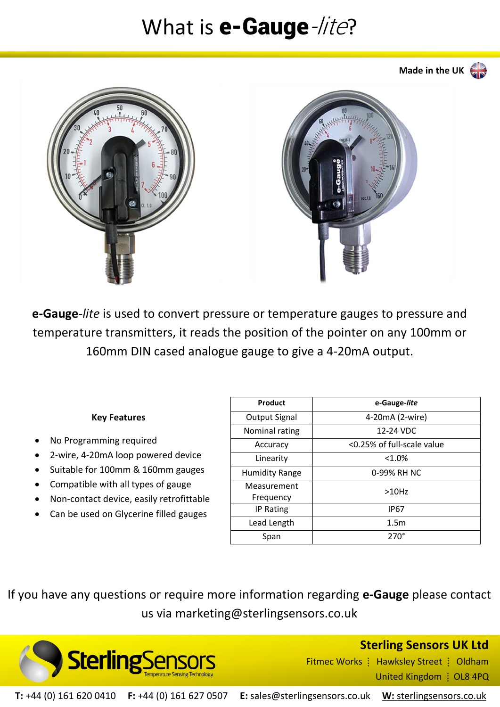## What is  $e$ -Gauge-/*ite*?



**e-Gauge***-lite* is used to convert pressure or temperature gauges to pressure and temperature transmitters, it reads the position of the pointer on any 100mm or 160mm DIN cased analogue gauge to give a 4-20mA output.

### **Key Features**

- No Programming required
- 2-wire, 4-20mA loop powered device
- Suitable for 100mm & 160mm gauges
- Compatible with all types of gauge
- Non-contact device, easily retrofittable
- Can be used on Glycerine filled gauges

| Product                  | e-Gauge-lite               |
|--------------------------|----------------------------|
| <b>Output Signal</b>     | 4-20mA (2-wire)            |
| Nominal rating           | 12-24 VDC                  |
| Accuracy                 | <0.25% of full-scale value |
| Linearity                | $< 1.0\%$                  |
| <b>Humidity Range</b>    | 0-99% RH NC                |
| Measurement<br>Frequency | >10Hz                      |
| IP Rating                | <b>IP67</b>                |
| Lead Length              | 1.5 <sub>m</sub>           |
| Span                     | $270^\circ$                |

If you have any questions or require more information regarding **e-Gauge** please contact us via marketing@sterlingsensors.co.uk



**Sterling Sensors UK Ltd**

Fitmec Works | Hawksley Street | Oldham United Kingdom : OL8 4PQ

**T:** +44 (0) 161 620 0410 **F:** +44 (0) 161 627 0507 **E:** sales@sterlingsensors.co.uk **W:** [sterlingsensors.co.uk](https://www.sterlingsensors.co.uk/)